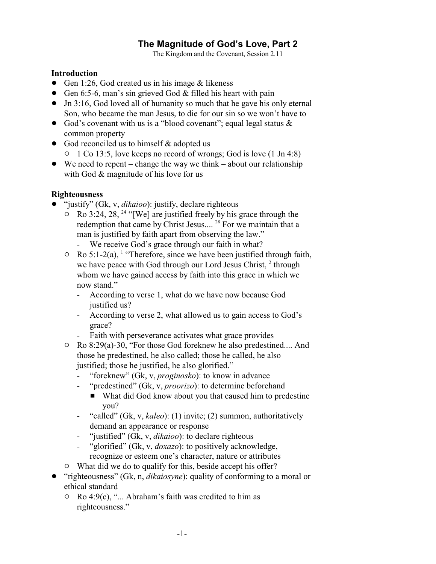# **The Magnitude of God's Love, Part 2**

The Kingdom and the Covenant, Session 2.11

#### **Introduction**

- Gen 1:26, God created us in his image  $&$  likeness
- Gen 6:5-6, man's sin grieved God  $&$  filled his heart with pain
- Jn 3:16, God loved all of humanity so much that he gave his only eternal Son, who became the man Jesus, to die for our sin so we won't have to
- God's covenant with us is a "blood covenant"; equal legal status  $\&$ common property
- God reconciled us to himself & adopted us
	- <sup>o</sup> 1 Co 13:5, love keeps no record of wrongs; God is love (1 Jn 4:8)
- $\bullet$  We need to repent change the way we think about our relationship with God & magnitude of his love for us

## **Righteousness**

- ! "justify" (Gk, v, *dikaioo*): justify, declare righteous
	- $\circ$  Ro 3:24, 28, <sup>24</sup> "[We] are justified freely by his grace through the redemption that came by Christ Jesus....<sup>28</sup> For we maintain that a man is justified by faith apart from observing the law."
		- We receive God's grace through our faith in what?
	- $\circ$  Ro 5:1-2(a), <sup>1</sup> "Therefore, since we have been justified through faith, we have peace with God through our Lord Jesus Christ, 2 through whom we have gained access by faith into this grace in which we now stand."
		- According to verse 1, what do we have now because God justified us?
		- According to verse 2, what allowed us to gain access to God's grace?
		- Faith with perseverance activates what grace provides
	- $\circ$  Ro 8:29(a)-30, "For those God foreknew he also predestined.... And those he predestined, he also called; those he called, he also justified; those he justified, he also glorified."
		- "foreknew" (Gk, v, *proginosko*): to know in advance
		- "predestined" (Gk, v, *proorizo*): to determine beforehand
			- What did God know about you that caused him to predestine you?
		- "called" (Gk, v, *kaleo*): (1) invite; (2) summon, authoritatively demand an appearance or response
		- "justified" (Gk, v, *dikaioo*): to declare righteous
		- "glorified" (Gk, v, *doxazo*): to positively acknowledge, recognize or esteem one's character, nature or attributes
	- $\circ$  What did we do to qualify for this, beside accept his offer?
- ! "righteousness" (Gk, n, *dikaiosyne*): quality of conforming to a moral or ethical standard
	- $\circ$  Ro 4:9(c), "... Abraham's faith was credited to him as righteousness."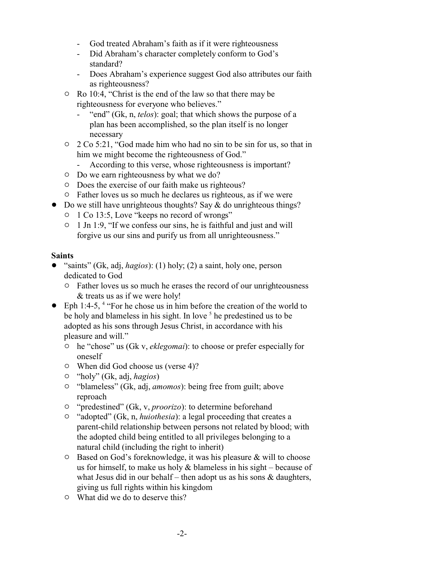- God treated Abraham's faith as if it were righteousness
- Did Abraham's character completely conform to God's standard?
- Does Abraham's experience suggest God also attributes our faith as righteousness?
- Ro 10:4, "Christ is the end of the law so that there may be righteousness for everyone who believes."
	- "end" (Gk, n, *telos*): goal; that which shows the purpose of a plan has been accomplished, so the plan itself is no longer necessary
- $\degree$  2 Co 5:21, "God made him who had no sin to be sin for us, so that in him we might become the righteousness of God."
	- According to this verse, whose righteousness is important?
- $\circ$  Do we earn righteousness by what we do?
- $\circ$  Does the exercise of our faith make us righteous?
- $\circ$  Father loves us so much he declares us righteous, as if we were
- $\bullet$  Do we still have unrighteous thoughts? Say & do unrighteous things?
	- <sup>o</sup> 1 Co 13:5, Love "keeps no record of wrongs"
	- $\circ$  1 Jn 1:9, "If we confess our sins, he is faithful and just and will forgive us our sins and purify us from all unrighteousness."

#### **Saints**

- "saints" (Gk, adj, *hagios*): (1) holy; (2) a saint, holy one, person dedicated to God
	- $\circ$  Father loves us so much he erases the record of our unrighteousness & treats us as if we were holy!
- $\bullet$  Eph 1:4-5, <sup>4</sup> "For he chose us in him before the creation of the world to be holy and blameless in his sight. In love <sup>5</sup> he predestined us to be adopted as his sons through Jesus Christ, in accordance with his pleasure and will."
	- " he "chose" us (Gk v, *eklegomai*): to choose or prefer especially for oneself
	- $\circ$  When did God choose us (verse 4)?
	- " "holy" (Gk, adj, *hagios*)
	- " "blameless" (Gk, adj, *amomos*): being free from guilt; above reproach
	- <sup>o</sup> "predestined" (Gk, v, *proorizo*): to determine beforehand
	- " "adopted" (Gk, n, *huiothesia*): a legal proceeding that creates a parent-child relationship between persons not related by blood; with the adopted child being entitled to all privileges belonging to a natural child (including the right to inherit)
	- $\circ$  Based on God's foreknowledge, it was his pleasure & will to choose us for himself, to make us holy  $&$  blameless in his sight – because of what Jesus did in our behalf – then adopt us as his sons  $\&$  daughters, giving us full rights within his kingdom
	- $\circ$  What did we do to deserve this?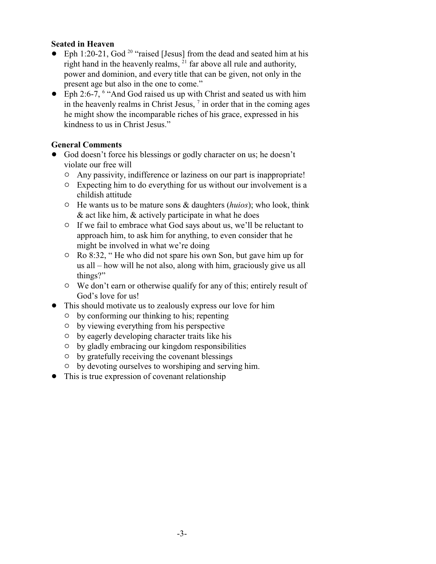#### **Seated in Heaven**

- $\bullet$  Eph 1:20-21, God<sup>20</sup> "raised [Jesus] from the dead and seated him at his right hand in the heavenly realms, <sup>21</sup> far above all rule and authority, power and dominion, and every title that can be given, not only in the present age but also in the one to come."
- Eph 2:6-7, <sup>6</sup> "And God raised us up with Christ and seated us with him in the heavenly realms in Christ Jesus,  $\frac{7}{1}$  in order that in the coming ages he might show the incomparable riches of his grace, expressed in his kindness to us in Christ Jesus."

## **General Comments**

- God doesn't force his blessings or godly character on us; he doesn't violate our free will
	- " Any passivity, indifference or laziness on our part is inappropriate!
	- $\circ$  Expecting him to do everything for us without our involvement is a childish attitude
	- " He wants us to be mature sons & daughters (*huios*); who look, think & act like him, & actively participate in what he does
	- <sup>o</sup> If we fail to embrace what God says about us, we'll be reluctant to approach him, to ask him for anything, to even consider that he might be involved in what we're doing
	- " Ro 8:32, " He who did not spare his own Son, but gave him up for us all – how will he not also, along with him, graciously give us all things?"
	- <sup>o</sup> We don't earn or otherwise qualify for any of this; entirely result of God's love for us!
- This should motivate us to zealously express our love for him
	- $\circ$  by conforming our thinking to his; repenting
	- $\circ$  by viewing everything from his perspective
	- $\circ$  by eagerly developing character traits like his
	- <sup>o</sup> by gladly embracing our kingdom responsibilities
	- $\circ$  by gratefully receiving the covenant blessings
	- $\circ$  by devoting ourselves to worshiping and serving him.
- This is true expression of covenant relationship